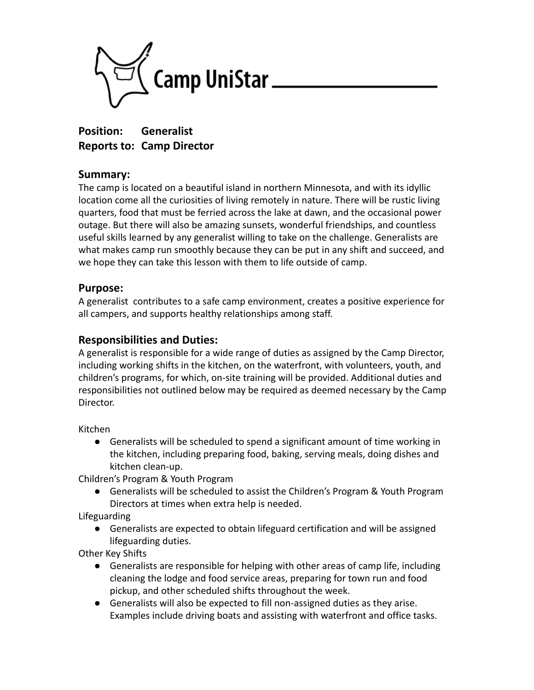

**Position: Generalist Reports to: Camp Director**

### **Summary:**

The camp is located on a beautiful island in northern Minnesota, and with its idyllic location come all the curiosities of living remotely in nature. There will be rustic living quarters, food that must be ferried across the lake at dawn, and the occasional power outage. But there will also be amazing sunsets, wonderful friendships, and countless useful skills learned by any generalist willing to take on the challenge. Generalists are what makes camp run smoothly because they can be put in any shift and succeed, and we hope they can take this lesson with them to life outside of camp.

#### **Purpose:**

A generalist contributes to a safe camp environment, creates a positive experience for all campers, and supports healthy relationships among staff.

## **Responsibilities and Duties:**

A generalist is responsible for a wide range of duties as assigned by the Camp Director, including working shifts in the kitchen, on the waterfront, with volunteers, youth, and children's programs, for which, on-site training will be provided. Additional duties and responsibilities not outlined below may be required as deemed necessary by the Camp Director.

Kitchen

● Generalists will be scheduled to spend a significant amount of time working in the kitchen, including preparing food, baking, serving meals, doing dishes and kitchen clean-up.

Children's Program & Youth Program

● Generalists will be scheduled to assist the Children's Program & Youth Program Directors at times when extra help is needed.

Lifeguarding

● Generalists are expected to obtain lifeguard certification and will be assigned lifeguarding duties.

Other Key Shifts

- Generalists are responsible for helping with other areas of camp life, including cleaning the lodge and food service areas, preparing for town run and food pickup, and other scheduled shifts throughout the week.
- Generalists will also be expected to fill non-assigned duties as they arise. Examples include driving boats and assisting with waterfront and office tasks.